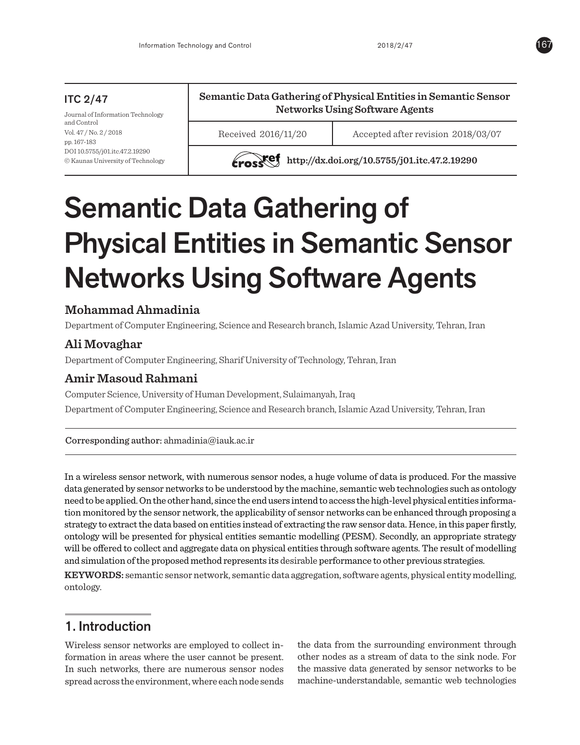# ITC 2/47

Journal of Information Technology and Control Vol. 47 / No. 2 / 2018 pp. 167-183 DOI 10.5755/j01.itc.47.2.19290 © Kaunas University of Technology **Semantic Data Gathering of Physical Entities in Semantic Sensor Networks Using Software Agents**

Received 2016/11/20 Accepted after revision 2018/03/07

**http://dx.doi.org/10.5755/j01.itc.47.2.19290** 

# Semantic Data Gathering of Physical Entities in Semantic Sensor Networks Using Software Agents

# **Mohammad Ahmadinia**

Department of Computer Engineering, Science and Research branch, Islamic Azad University, Tehran, Iran

# **Ali Movaghar**

Department of Computer Engineering, Sharif University of Technology, Tehran, Iran

# **Amir Masoud Rahmani**

Computer Science, University of Human Development, Sulaimanyah, Iraq Department of Computer Engineering, Science and Research branch, Islamic Azad University, Tehran, Iran

Corresponding author[:](mailto:obodovskiy58@gmail.com) ahmadinia@iauk.ac.ir

In a wireless sensor network, with numerous sensor nodes, a huge volume of data is produced. For the massive data generated by sensor networks to be understood by the machine, semantic web technologies such as ontology need to be applied. On the other hand, since the end users intend to access the high-level physical entities information monitored by the sensor network, the applicability of sensor networks can be enhanced through proposing a strategy to extract the data based on entities instead of extracting the raw sensor data. Hence, in this paper firstly, ontology will be presented for physical entities semantic modelling (PESM). Secondly, an appropriate strategy will be offered to collect and aggregate data on physical entities through software agents. The result of modelling and simulation of the proposed method represents its desirable performance to other previous strategies.

**KEYWORDS:** semantic sensor network, semantic data aggregation, software agents, physical entity modelling, ontology.

# 1. Introduction

Wireless sensor networks are employed to collect information in areas where the user cannot be present. In such networks, there are numerous sensor nodes spread across the environment, where each node sends

the data from the surrounding environment through other nodes as a stream of data to the sink node. For the massive data generated by sensor networks to be machine-understandable, semantic web technologies

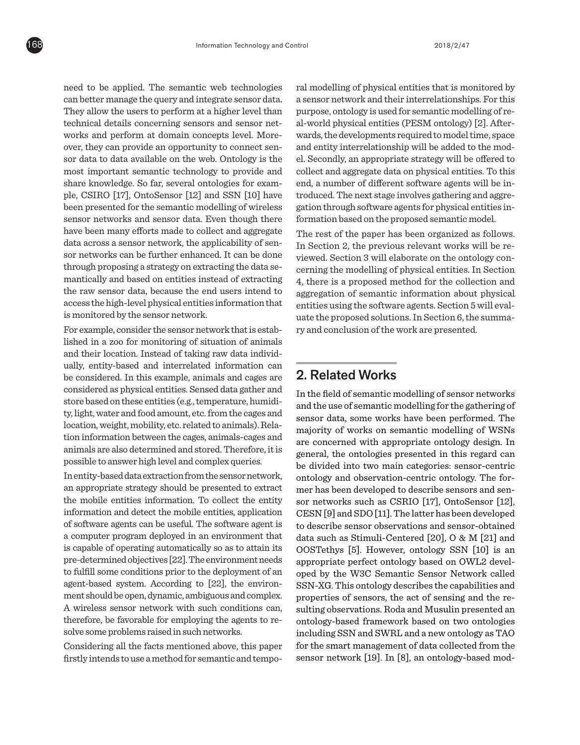need to be applied. The semantic web technologies can better manage the query and integrate sensor data. They allow the users to perform at a higher level than technical details concerning sensors and sensor networks and perform at domain concepts level. Moreover, they can provide an opportunity to connect sensor data to data available on the web. Ontology is the most important semantic technology to provide and share knowledge. So far, several ontologies for example, CSIRO [17], OntoSensor [12] and SSN [10] have been presented for the semantic modelling of wireless sensor networks and sensor data. Even though there have been many efforts made to collect and aggregate data across a sensor network, the applicability of sensor networks can be further enhanced. It can be done through proposing a strategy on extracting the data semantically and based on entities instead of extracting the raw sensor data, because the end users intend to access the high-level physical entities information that is monitored by the sensor network.

For example, consider the sensor network that is established in a zoo for monitoring of situation of animals and their location. Instead of taking raw data individually, entity-based and interrelated information can be considered. In this example, animals and cages are considered as physical entities. Sensed data gather and store based on these entities (e.g., temperature, humidity, light, water and food amount, etc. from the cages and location, weight, mobility, etc. related to animals). Relation information between the cages, animals-cages and animals are also determined and stored. Therefore, it is possible to answer high level and complex queries.

In entity-based data extraction from the sensor network, an appropriate strategy should be presented to extract the mobile entities information. To collect the entity information and detect the mobile entities, application of software agents can be useful. The software agent is a computer program deployed in an environment that is capable of operating automatically so as to attain its pre-determined objectives [22]. The environment needs to fulfill some conditions prior to the deployment of an agent-based system. According to [22], the environment should be open, dynamic, ambiguous and complex. A wireless sensor network with such conditions can, therefore, be favorable for employing the agents to resolve some problems raised in such networks.

Considering all the facts mentioned above, this paper firstly intends to use a method for semantic and temporal modelling of physical entities that is monitored by a sensor network and their interrelationships. For this purpose, ontology is used for semantic modelling of real-world physical entities (PESM ontology) [2]. Afterwards, the developments required to model time, space and entity interrelationship will be added to the model. Secondly, an appropriate strategy will be offered to collect and aggregate data on physical entities. To this end, a number of different software agents will be introduced. The next stage involves gathering and aggregation through software agents for physical entities information based on the proposed semantic model.

The rest of the paper has been organized as follows. In Section 2, the previous relevant works will be reviewed. Section 3 will elaborate on the ontology concerning the modelling of physical entities. In Section 4, there is a proposed method for the collection and aggregation of semantic information about physical entities using the software agents. Section 5 will evaluate the proposed solutions. In Section 6, the summary and conclusion of the work are presented.

# 2. Related Works

In the field of semantic modelling of sensor networks and the use of semantic modelling for the gathering of sensor data, some works have been performed. The majority of works on semantic modelling of WSNs are concerned with appropriate ontology design. In general, the ontologies presented in this regard can be divided into two main categories: sensor-centric ontology and observation-centric ontology. The former has been developed to describe sensors and sensor networks such as CSRIO [17], OntoSensor [12], CESN [9] and SDO [11]. The latter has been developed to describe sensor observations and sensor-obtained data such as Stimuli-Centered [20], O & M [21] and OOSTethys [5]. However, ontology SSN [10] is an appropriate perfect ontology based on OWL2 developed by the W3C Semantic Sensor Network called SSN-XG. This ontology describes the capabilities and properties of sensors, the act of sensing and the resulting observations. Roda and Musulin presented an ontology-based framework based on two ontologies including SSN and SWRL and a new ontology as TAO for the smart management of data collected from the sensor network [19]. In [8], an ontology-based mod-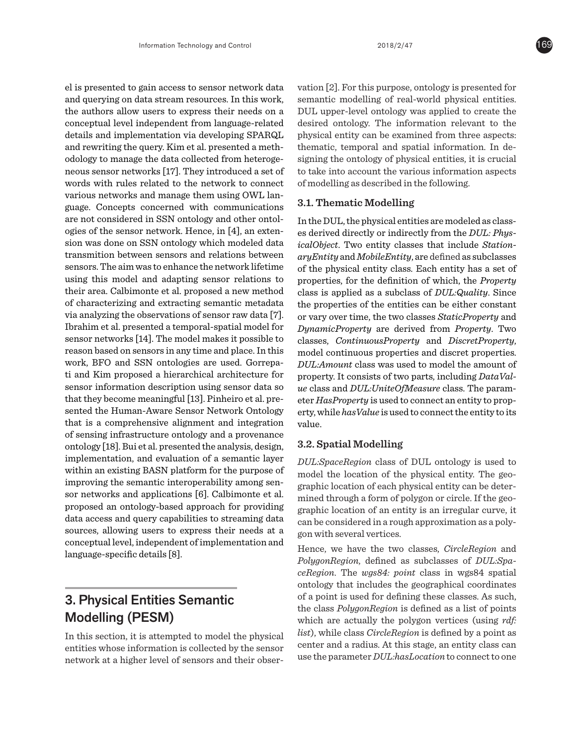el is presented to gain access to sensor network data and querying on data stream resources. In this work, the authors allow users to express their needs on a conceptual level independent from language-related details and implementation via developing SPARQL and rewriting the query. Kim et al. presented a methodology to manage the data collected from heterogeneous sensor networks [17]. They introduced a set of words with rules related to the network to connect various networks and manage them using OWL language. Concepts concerned with communications are not considered in SSN ontology and other ontologies of the sensor network. Hence, in [4], an extension was done on SSN ontology which modeled data transmition between sensors and relations between sensors. The aim was to enhance the network lifetime using this model and adapting sensor relations to their area. Calbimonte et al. proposed a new method of characterizing and extracting semantic metadata via analyzing the observations of sensor raw data [7]. Ibrahim et al. presented a temporal-spatial model for sensor networks [14]. The model makes it possible to reason based on sensors in any time and place. In this work, BFO and SSN ontologies are used. Gorrepati and Kim proposed a hierarchical architecture for sensor information description using sensor data so that they become meaningful [13]. Pinheiro et al. presented the Human-Aware Sensor Network Ontology that is a comprehensive alignment and integration of sensing infrastructure ontology and a provenance ontology [18]. Bui et al. presented the analysis, design, implementation, and evaluation of a semantic layer within an existing BASN platform for the purpose of improving the semantic interoperability among sensor networks and applications [6]. Calbimonte et al. proposed an ontology-based approach for providing data access and query capabilities to streaming data sources, allowing users to express their needs at a conceptual level, independent of implementation and language-specific details [8].

# 3. Physical Entities Semantic Modelling (PESM)

In this section, it is attempted to model the physical entities whose information is collected by the sensor network at a higher level of sensors and their observation [2]. For this purpose, ontology is presented for semantic modelling of real-world physical entities. DUL upper-level ontology was applied to create the desired ontology. The information relevant to the physical entity can be examined from three aspects: thematic, temporal and spatial information. In designing the ontology of physical entities, it is crucial to take into account the various information aspects of modelling as described in the following.

# **3.1. Thematic Modelling**

In the DUL, the physical entities are modeled as classes derived directly or indirectly from the *DUL: PhysicalObject*. Two entity classes that include *StationaryEntity* and *MobileEntity*, are defined as subclasses of the physical entity class. Each entity has a set of properties, for the definition of which, the *Property* class is applied as a subclass of *DUL:Quality*. Since the properties of the entities can be either constant or vary over time, the two classes *StaticProperty* and *DynamicProperty* are derived from *Property*. Two classes, *ContinuousProperty* and *DiscretProperty*, model continuous properties and discret properties. *DUL:Amount* class was used to model the amount of property. It consists of two parts, including *DataValue* class and *DUL:UniteOfMeasure* class. The parameter *HasProperty* is used to connect an entity to property, while *hasValue* is used to connect the entity to its value.

## **3.2. Spatial Modelling**

*DUL:SpaceRegion* class of DUL ontology is used to model the location of the physical entity. The geographic location of each physical entity can be determined through a form of polygon or circle. If the geographic location of an entity is an irregular curve, it can be considered in a rough approximation as a polygon with several vertices.

Hence, we have the two classes, *CircleRegion* and *PolygonRegion*, defined as subclasses of *DUL:SpaceRegion*. The *wgs84: point* class in wgs84 spatial ontology that includes the geographical coordinates of a point is used for defining these classes. As such, the class *PolygonRegion* is defined as a list of points which are actually the polygon vertices (using *rdf: list*), while class *CircleRegion* is defined by a point as center and a radius. At this stage, an entity class can use the parameter *DUL:hasLocation* to connect to one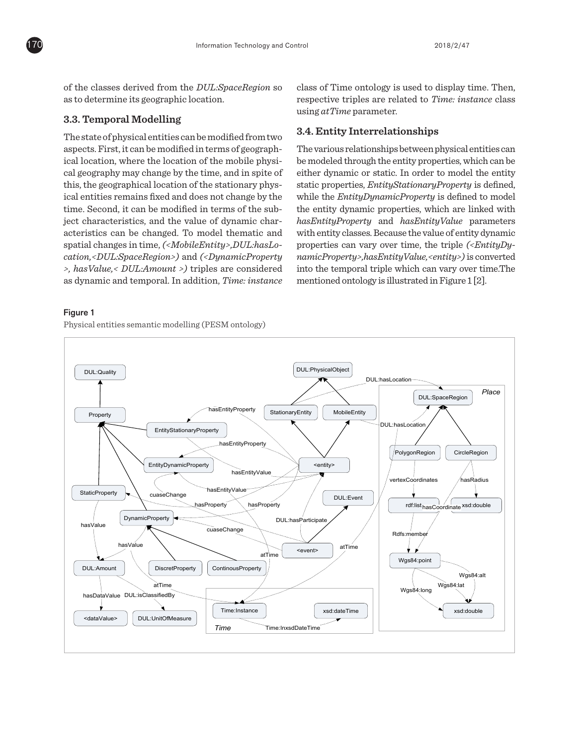

of the classes derived from the *DUL:SpaceRegion* so as to determine its geographic location.

#### **3.3. Temporal Modelling**

The state of physical entities can be modified from two aspects. First, it can be modified in terms of geographical location, where the location of the mobile physical geography may change by the time, and in spite of this, the geographical location of the stationary physical entities remains fixed and does not change by the time. Second, it can be modified in terms of the subject characteristics, and the value of dynamic characteristics can be changed. To model thematic and spatial changes in time, *(<MobileEntity>,DUL:hasLocation,<DUL:SpaceRegion>)* and *(<DynamicProperty >, hasValue,< DUL:Amount >)* triples are considered as dynamic and temporal. In addition, *Time: instance*

## Figure 1

Physical entities semantic modelling (PESM ontology)

class of Time ontology is used to display time. Then, respective triples are related to *Time: instance* class using *atTime* parameter.

## **3.4. Entity Interrelationships**

The various relationships between physical entities can be modeled through the entity properties, which can be either dynamic or static. In order to model the entity static properties, *EntityStationaryProperty* is defined, while the *EntityDynamicProperty* is defined to model the entity dynamic properties, which are linked with *hasEntityProperty* and *hasEntityValue* parameters with entity classes. Because the value of entity dynamic properties can vary over time, the triple *(<EntityDynamicProperty>,hasEntityValue,<entity>)* is converted into the temporal triple which can vary over time.The mentioned ontology is illustrated in Figure 1 [2].

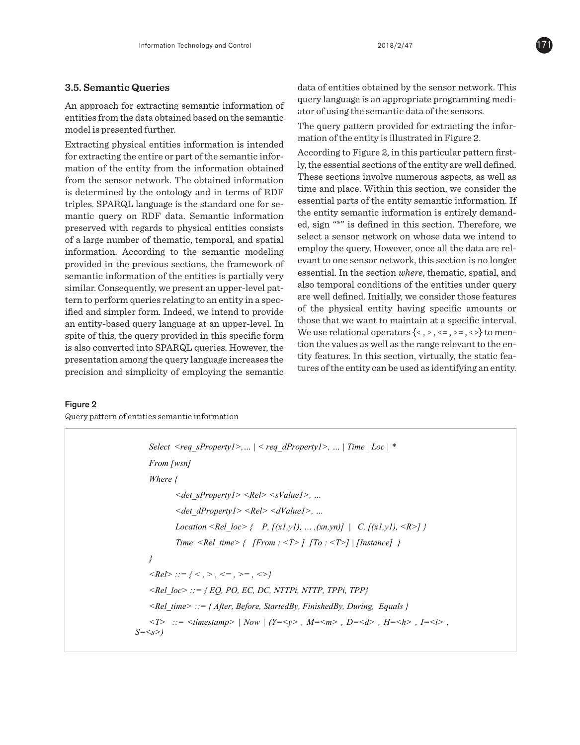# **3.5. Semantic Queries**

An approach for extracting semantic information of entities from the data obtained based on the semantic model is presented further.

Extracting physical entities information is intended for extracting the entire or part of the semantic information of the entity from the information obtained from the sensor network. The obtained information is determined by the ontology and in terms of RDF triples. SPARQL language is the standard one for semantic query on RDF data. Semantic information preserved with regards to physical entities consists of a large number of thematic, temporal, and spatial information. According to the semantic modeling provided in the previous sections, the framework of semantic information of the entities is partially very similar. Consequently, we present an upper-level pattern to perform queries relating to an entity in a specified and simpler form. Indeed, we intend to provide an entity-based query language at an upper-level. In spite of this, the query provided in this specific form is also converted into SPARQL queries. However, the presentation among the query language increases the precision and simplicity of employing the semantic

data of entities obtained by the sensor network. This query language is an appropriate programming mediator of using the semantic data of the sensors.

The query pattern provided for extracting the information of the entity is illustrated in Figure 2.

According to Figure 2, in this particular pattern firstly, the essential sections of the entity are well defined. These sections involve numerous aspects, as well as time and place. Within this section, we consider the essential parts of the entity semantic information. If the entity semantic information is entirely demanded, sign "\*" is defined in this section. Therefore, we select a sensor network on whose data we intend to employ the query. However, once all the data are relevant to one sensor network, this section is no longer essential. In the section *where*, thematic, spatial, and also temporal conditions of the entities under query are well defined. Initially, we consider those features of the physical entity having specific amounts or those that we want to maintain at a specific interval. We use relational operators  $\{<,>,\leq,>=,>=,>\}$  to mention the values as well as the range relevant to the entity features. In this section, virtually, the static features of the entity can be used as identifying an entity.

## Figure 2

Query pattern of entities semantic information

```
Select <req_sProperty1>,... | < req_dProperty1>, ... | Time | Loc | *
    From [wsn] 
    Where { 
             <det_sProperty1> <Rel> <sValue1>, … 
             <det_dProperty1> <Rel> <dValue1>, … 
            Location <Rel_loc> { P, [(x1,y1), ..., (xn,yn)] \mid C, [(x1,y1), (x2, y1)] Time <Rel_time> { [From : <T> ] [To : <T>] | [Instance] } 
    } 
    \langleRel>::= { < , > , <= , >= , <>}
    <Rel_loc> ::= { EQ, PO, EC, DC, NTTPi, NTTP, TPPi, TPP} 
    <Rel_time> ::= { After, Before, StartedBy, FinishedBy, During, Equals } 
    \langle T \rangle ::= \langletimestamp> | Now | (Y=\langle y \rangle, M=\langle m \rangle, D=\langle d \rangle, H=\langle h \rangle, I=\langle i \rangle,
S=<s>)
```
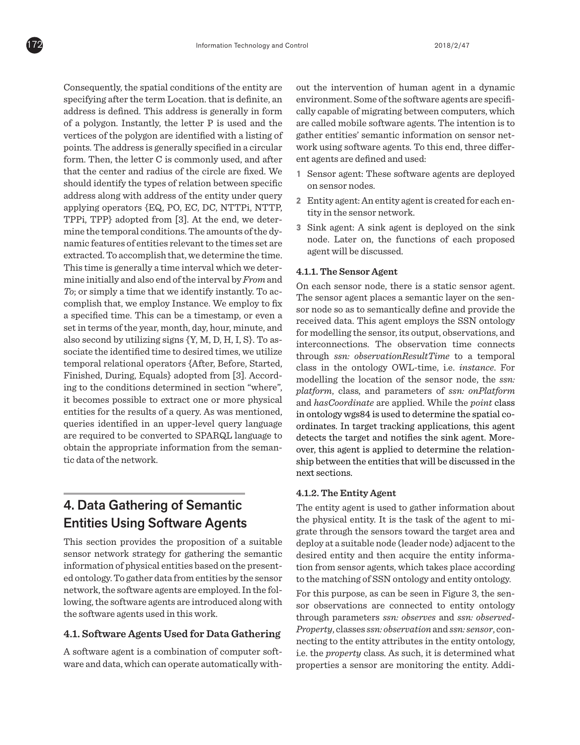Consequently, the spatial conditions of the entity are specifying after the term Location. that is definite, an address is defined. This address is generally in form of a polygon. Instantly, the letter P is used and the vertices of the polygon are identified with a listing of points. The address is generally specified in a circular form. Then, the letter C is commonly used, and after that the center and radius of the circle are fixed. We should identify the types of relation between specific address along with address of the entity under query applying operators {EQ, PO, EC, DC, NTTPi, NTTP, TPPi, TPP} adopted from [3]. At the end, we determine the temporal conditions. The amounts of the dynamic features of entities relevant to the times set are extracted. To accomplish that, we determine the time. This time is generally a time interval which we determine initially and also end of the interval by *From* and *To*; or simply a time that we identify instantly. To accomplish that, we employ Instance. We employ to fix a specified time. This can be a timestamp, or even a set in terms of the year, month, day, hour, minute, and also second by utilizing signs {Y, M, D, H, I, S}. To associate the identified time to desired times, we utilize temporal relational operators {After, Before, Started, Finished, During, Equals} adopted from [3]. According to the conditions determined in section "where", it becomes possible to extract one or more physical entities for the results of a query. As was mentioned, queries identified in an upper-level query language are required to be converted to SPARQL language to obtain the appropriate information from the semantic data of the network.

# 4. Data Gathering of Semantic Entities Using Software Agents

This section provides the proposition of a suitable sensor network strategy for gathering the semantic information of physical entities based on the presented ontology. To gather data from entities by the sensor network, the software agents are employed. In the following, the software agents are introduced along with the software agents used in this work.

## **4.1. Software Agents Used for Data Gathering**

A software agent is a combination of computer software and data, which can operate automatically without the intervention of human agent in a dynamic environment. Some of the software agents are specifically capable of migrating between computers, which are called mobile software agents. The intention is to gather entities' semantic information on sensor network using software agents. To this end, three different agents are defined and used:

- **1** Sensor agent: These software agents are deployed on sensor nodes.
- **2** Entity agent: An entity agent is created for each entity in the sensor network.
- **3** Sink agent: A sink agent is deployed on the sink node. Later on, the functions of each proposed agent will be discussed.

#### **4.1.1. The Sensor Agent**

On each sensor node, there is a static sensor agent. The sensor agent places a semantic layer on the sensor node so as to semantically define and provide the received data. This agent employs the SSN ontology for modelling the sensor, its output, observations, and interconnections. The observation time connects through *ssn: observationResultTime* to a temporal class in the ontology OWL-time, i.e. *instance*. For modelling the location of the sensor node, the *ssn: platform*, class, and parameters of *ssn: onPlatform* and *hasCoordinate* are applied. While the *point* class in ontology wgs84 is used to determine the spatial coordinates. In target tracking applications, this agent detects the target and notifies the sink agent. Moreover, this agent is applied to determine the relationship between the entities that will be discussed in the next sections.

## **4.1.2. The Entity Agent**

The entity agent is used to gather information about the physical entity. It is the task of the agent to migrate through the sensors toward the target area and deploy at a suitable node (leader node) adjacent to the desired entity and then acquire the entity information from sensor agents, which takes place according to the matching of SSN ontology and entity ontology.

For this purpose, as can be seen in Figure 3, the sensor observations are connected to entity ontology through parameters *ssn: observes* and *ssn: observed-Property*, classes *ssn: observation* and *ssn: sensor*, connecting to the entity attributes in the entity ontology, i.e. the *property* class. As such, it is determined what properties a sensor are monitoring the entity. Addi-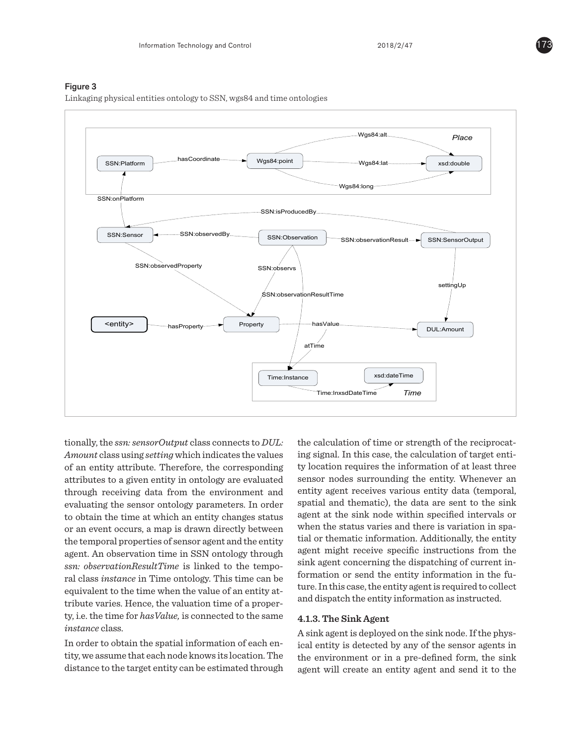#### Figure 3

Linkaging physical entities ontology to SSN, wgs84 and time ontologies



tionally, the *ssn: sensorOutput* class connects to *DUL: Amount* class using *setting* which indicates the values of an entity attribute. Therefore, the corresponding attributes to a given entity in ontology are evaluated through receiving data from the environment and evaluating the sensor ontology parameters. In order to obtain the time at which an entity changes status or an event occurs, a map is drawn directly between the temporal properties of sensor agent and the entity agent. An observation time in SSN ontology through *ssn: observationResultTime* is linked to the temporal class *instance* in Time ontology. This time can be equivalent to the time when the value of an entity attribute varies. Hence, the valuation time of a property, i.e. the time for *hasValue,* is connected to the same *instance* class.

In order to obtain the spatial information of each entity, we assume that each node knows its location. The distance to the target entity can be estimated through the calculation of time or strength of the reciprocating signal. In this case, the calculation of target entity location requires the information of at least three sensor nodes surrounding the entity. Whenever an entity agent receives various entity data (temporal, spatial and thematic), the data are sent to the sink agent at the sink node within specified intervals or when the status varies and there is variation in spatial or thematic information. Additionally, the entity agent might receive specific instructions from the sink agent concerning the dispatching of current information or send the entity information in the future. In this case, the entity agent is required to collect and dispatch the entity information as instructed.

#### **4.1.3. The Sink Agent**

A sink agent is deployed on the sink node. If the physical entity is detected by any of the sensor agents in the environment or in a pre-defined form, the sink agent will create an entity agent and send it to the

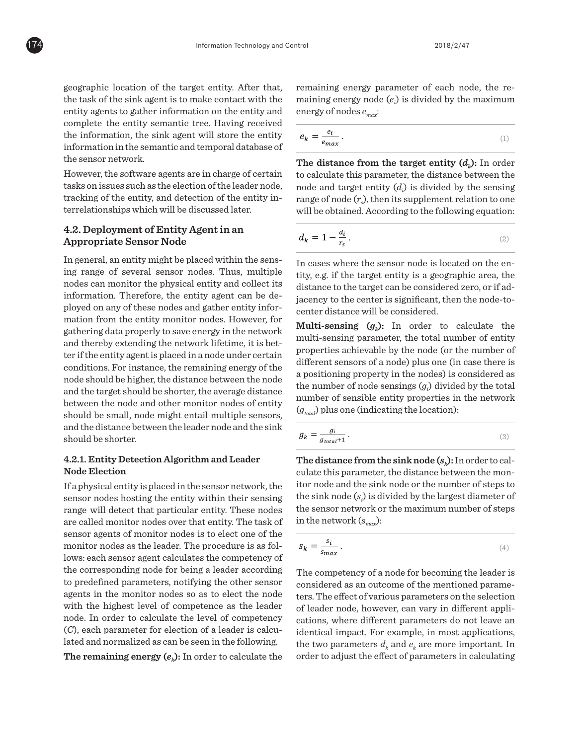geographic location of the target entity. After that, the task of the sink agent is to make contact with the entity agents to gather information on the entity and complete the entity semantic tree. Having received the information, the sink agent will store the entity information in the semantic and temporal database of the sensor network.

However, the software agents are in charge of certain tasks on issues such as the election of the leader node, tracking of the entity, and detection of the entity interrelationships which will be discussed later.

# **4.2. Deployment of Entity Agent in an Appropriate Sensor Node**

In general, an entity might be placed within the sensing range of several sensor nodes. Thus, multiple nodes can monitor the physical entity and collect its information. Therefore, the entity agent can be deployed on any of these nodes and gather entity information from the entity monitor nodes. However, for gathering data properly to save energy in the network and thereby extending the network lifetime, it is better if the entity agent is placed in a node under certain conditions. For instance, the remaining energy of the node should be higher, the distance between the node and the target should be shorter, the average distance between the node and other monitor nodes of entity should be small, node might entail multiple sensors, and the distance between the leader node and the sink should be shorter.

# **4.2.1. Entity Detection Algorithm and Leader Node Election**

If a physical entity is placed in the sensor network, the sensor nodes hosting the entity within their sensing range will detect that particular entity. These nodes are called monitor nodes over that entity. The task of sensor agents of monitor nodes is to elect one of the monitor nodes as the leader. The procedure is as follows: each sensor agent calculates the competency of the corresponding node for being a leader according to predefined parameters, notifying the other sensor agents in the monitor nodes so as to elect the node with the highest level of competence as the leader node. In order to calculate the level of competency (*C*), each parameter for election of a leader is calculated and normalized as can be seen in the following. network or the maximum number of steps in the network or the network or the network of steps in the network of  $\alpha$ 

**The remaining energy**  $(e_k)$ **: In order to calculate the** 

remaining energy parameter of each node, the remaining energy node  $(e_i)$  is divided by the maximum energy of nodes *emax*: .  $\frac{1}{\omega}$  = 11 iii  $\omega$   $\frac{1}{\omega}$ .

$$
e_k = \frac{e_i}{e_{max}}.
$$
 (1)

to calculate this parameter, the distance between the solution of the sensing<br>the sensing range of node  $(r_s)$ , then its supplement relation to one<br>will be obtained. According to the following countion. range of node  $(r_s)$ , then its supplement relation to one node (), then its supplement relation to one will be obtained. According to the following equation: obtained. According to the following equation:  $\mathcal{A}_\mathcal{A}$ **The distance from the target entity**  $(d_k)$ **:** In order<br>to calculate this parameter, the distance between the<br>orde and target entity  $(d)$  is divided by the sensing obtained. According to the following equation:  $\alpha$  or noice  $\langle \cdot \rangle$ , then no supprement  $\alpha$ 

$$
d_k = 1 - \frac{d_i}{r_s}.
$$

 $\frac{3}{5}$  tity, e.g. if the target entity is a geographic area, the distance to the target can be considered zero, or if ad- $\frac{1}{\sqrt{2}}$  jacency to the center is significant, then the node-tocenter distance will be considered. In cases where the sensor node is located on the entity, e.g. if the target entity is a geographic area, the distance to the target can be considered zero, or if a jacency to the center is significant, then the node-center distance will be considered. jacency to the center is significant, then the node-

**Multi-sensing**  $(g_k)$ **: In order to calculate the** properties achievable by the node (or the number of  $\frac{1}{2}$  different sensors of a node) plus one (in case there is a positioning property in the nodes) is considered as<br>the number of node sensings  $(g_i)$  divided by the total<br>number of sensible entity properties in the network<br> $(g_{total})$  plus one (indicating the location): the number of node sensings  $(g_i)$  divided by the total  $\frac{3}{2}$  number of sensible entity properties in the network  $(g_{total})$  plus one (indicating the location):  $\frac{g}{g}$ ,  $\frac{g_{total}}{g}$  plus one (indicating the location):  $\sum_{k=1}^{N}$  multi-sensing parameter, the total number of entity properties achievable by the node (or the number<br>of different sensors of a node) plus one (in case there is a positioning property in the nodes) is considered  $\mathcal{S}_{total}$ ,

$$
g_k = \frac{g_i}{g_{total} + 1}.
$$
 (3)

 $\frac{1}{\sqrt{2}}$  $\frac{1}{2}$  it or node and the sink node or the number of steps to the sink node  $(s_i)$  is divided by the largest diameter  $\frac{1}{s}$  the sensor network or the maximum number of steps f in the network  $(s_{max})$ : culate this parameter, the distance between the mon-Fraction of steps it in the sink node or the number of steps the sink node  $(s_i)$  is divided by the largest diameter the sensor network or the maximum number of steps in the network  $(s_{max})$ : **The distance from the sink node**  $(s_k)$ **:** In order to calthe sink node  $(s_i)$  is divided by the largest diameter of

$$
s_k = \frac{s_i}{s_{max}}.
$$
\n(4)

(4) <sup>=</sup> The competency of a node for becoming the leader is  $e^3$  ters. The effect of various parameters on the selection <sup>r</sup> of leader node, however, can vary in different appli- $\mathcal{F}$  cations, where different parameters do not leave an identical impact. For example, in most applications, T of leader node, however, can vary in different applications, where different parameters do not leave an identical impact. For example, in most applications, the two parameters  $d_k$  and  $e_k$  are more important. In  $\frac{1}{2}$  order to adjust the effect of parameters in calculating considered as an outcome of the mentioned parameters. The effect of various parameters on the selection<br> $\frac{1}{2}$  of leader node, however, can vary in different appliparameters in calculating the competency, each parameter is assigned a value between zero and one so that the total weight is equal to one:

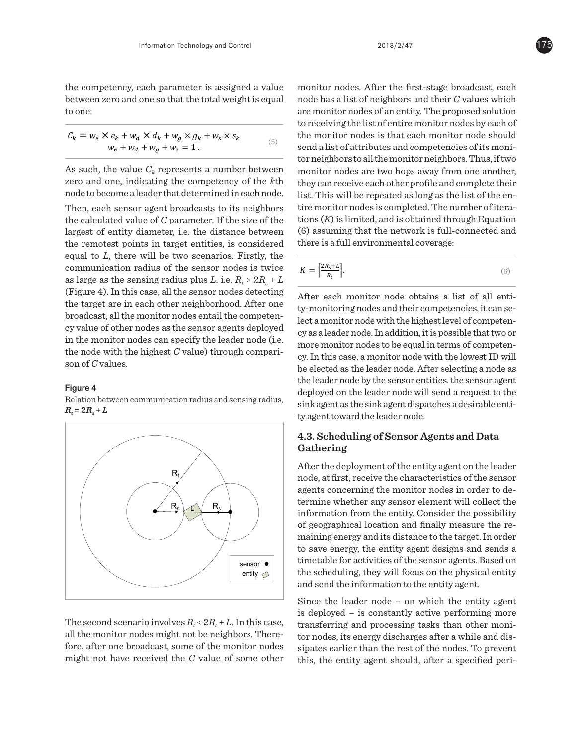the competency, each parameter is assigned a value between zero and one so that the total weight is equal to one:

$$
C_k = w_e \times e_k + w_d \times d_k + w_g \times g_k + w_s \times s_k
$$
  
\n
$$
w_e + w_d + w_g + w_s = 1.
$$
 (5)

As such, the value  $C_k$  represents a number between zero and one, indicating the competency of the *k*th node to become a leader that determined in each node.

Then, each sensor agent broadcasts to its neighbors the calculated value of *C* parameter. If the size of the largest of entity diameter, i.e. the distance between the remotest points in target entities, is considered equal to *L*, there will be two scenarios. Firstly, the  $\sim$  communication radius of the sensor nodes is twice communication radius of the sensor houes is twice  $K = \frac{1}{R_t}$ .<br>as large as the sensing radius plus *L*. i.e.  $R_t > 2R_s + L$ (Figure 4). In this case, all the sensor nodes detecting the target are in each other neighborhood. After one broadcast, all the monitor nodes entail the competency value of other nodes as the sensor agents deployed in the monitor nodes can specify the leader node (i.e. the node with the highest *C* value) through comparison of *C* values.

#### Figure 4

Relation between communication radius and sensing radius,  $R_t = 2R_s + L$ 



The second scenario involves  $R_t < 2R_s + L$ . In this case, all the monitor nodes might not be neighbors. Therefore, after one broadcast, some of the monitor nodes might not have received the *C* value of some other

 $w_e + w_d + w_g + w_s = 1$ . (5) are momentum routed to the water momentum route should send a list of attributes and competencies of its monimonitor nodes. After the first-stage broadcast, each node has a list of neighbors and their *C* values which are monitor nodes of an entity. The proposed solution to receiving the list of entire monitor nodes by each of the monitor nodes is that each monitor node should tor neighbors to all the monitor neighbors. Thus, if two monitor nodes are two hops away from one another, they can receive each other profile and complete their list. This will be repeated as long as the list of the entire monitor nodes is completed. The number of iterations (*K*) is limited, and is obtained through Equation (6) assuming that the network is full-connected and there is a full environmental coverage:

$$
K = \left[\frac{2R_s + L}{R_t}\right].\tag{6}
$$

- After each monitor node obtains a list of all entity-monitoring nodes and their competencies, it can select a monitor node with the highest level of competency as a leader node. In addition, it is possible that two or more monitor nodes to be equal in terms of competency. In this case, a monitor node with the lowest ID will be elected as the leader node. After selecting a node as the leader node by the sensor entities, the sensor agent deployed on the leader node will send a request to the sink agent as the sink agent dispatches a desirable entity agent toward the leader node.

# **4.3. Scheduling of Sensor Agents and Data Gathering**

After the deployment of the entity agent on the leader node, at first, receive the characteristics of the sensor agents concerning the monitor nodes in order to determine whether any sensor element will collect the information from the entity. Consider the possibility of geographical location and finally measure the remaining energy and its distance to the target. In order to save energy, the entity agent designs and sends a timetable for activities of the sensor agents. Based on the scheduling, they will focus on the physical entity and send the information to the entity agent.

Since the leader node – on which the entity agent is deployed – is constantly active performing more transferring and processing tasks than other monitor nodes, its energy discharges after a while and dissipates earlier than the rest of the nodes. To prevent this, the entity agent should, after a specified peri-

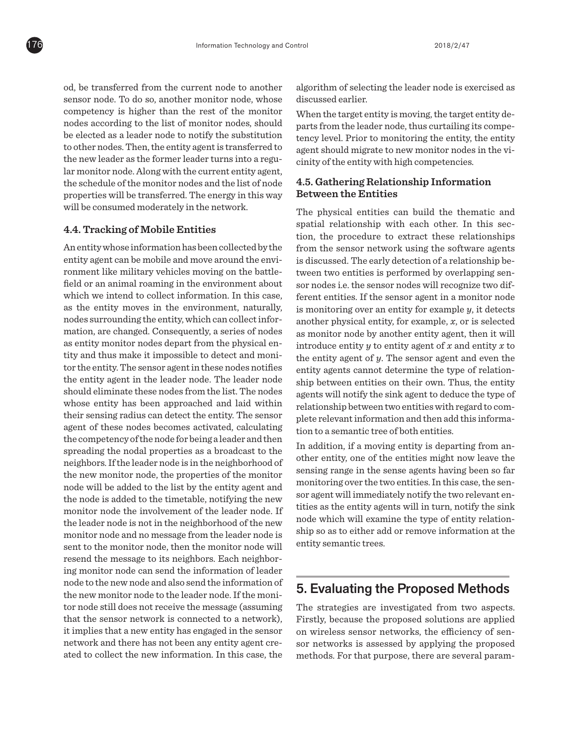od, be transferred from the current node to another sensor node. To do so, another monitor node, whose competency is higher than the rest of the monitor nodes according to the list of monitor nodes, should be elected as a leader node to notify the substitution to other nodes. Then, the entity agent is transferred to the new leader as the former leader turns into a regular monitor node. Along with the current entity agent, the schedule of the monitor nodes and the list of node properties will be transferred. The energy in this way will be consumed moderately in the network.

## **4.4. Tracking of Mobile Entities**

An entity whose information has been collected by the entity agent can be mobile and move around the environment like military vehicles moving on the battlefield or an animal roaming in the environment about which we intend to collect information. In this case, as the entity moves in the environment, naturally, nodes surrounding the entity, which can collect information, are changed. Consequently, a series of nodes as entity monitor nodes depart from the physical entity and thus make it impossible to detect and monitor the entity. The sensor agent in these nodes notifies the entity agent in the leader node. The leader node should eliminate these nodes from the list. The nodes whose entity has been approached and laid within their sensing radius can detect the entity. The sensor agent of these nodes becomes activated, calculating the competency of the node for being a leader and then spreading the nodal properties as a broadcast to the neighbors. If the leader node is in the neighborhood of the new monitor node, the properties of the monitor node will be added to the list by the entity agent and the node is added to the timetable, notifying the new monitor node the involvement of the leader node. If the leader node is not in the neighborhood of the new monitor node and no message from the leader node is sent to the monitor node, then the monitor node will resend the message to its neighbors. Each neighboring monitor node can send the information of leader node to the new node and also send the information of the new monitor node to the leader node. If the monitor node still does not receive the message (assuming that the sensor network is connected to a network), it implies that a new entity has engaged in the sensor network and there has not been any entity agent created to collect the new information. In this case, the

algorithm of selecting the leader node is exercised as discussed earlier.

When the target entity is moving, the target entity departs from the leader node, thus curtailing its competency level. Prior to monitoring the entity, the entity agent should migrate to new monitor nodes in the vicinity of the entity with high competencies.

# **4.5. Gathering Relationship Information Between the Entities**

The physical entities can build the thematic and spatial relationship with each other. In this section, the procedure to extract these relationships from the sensor network using the software agents is discussed. The early detection of a relationship between two entities is performed by overlapping sensor nodes i.e. the sensor nodes will recognize two different entities. If the sensor agent in a monitor node is monitoring over an entity for example *y*, it detects another physical entity, for example, *x*, or is selected as monitor node by another entity agent, then it will introduce entity  $y$  to entity agent of  $x$  and entity  $x$  to the entity agent of *y*. The sensor agent and even the entity agents cannot determine the type of relationship between entities on their own. Thus, the entity agents will notify the sink agent to deduce the type of relationship between two entities with regard to complete relevant information and then add this information to a semantic tree of both entities.

In addition, if a moving entity is departing from another entity, one of the entities might now leave the sensing range in the sense agents having been so far monitoring over the two entities. In this case, the sensor agent will immediately notify the two relevant entities as the entity agents will in turn, notify the sink node which will examine the type of entity relationship so as to either add or remove information at the entity semantic trees.

# 5. Evaluating the Proposed Methods

The strategies are investigated from two aspects. Firstly, because the proposed solutions are applied on wireless sensor networks, the efficiency of sensor networks is assessed by applying the proposed methods. For that purpose, there are several param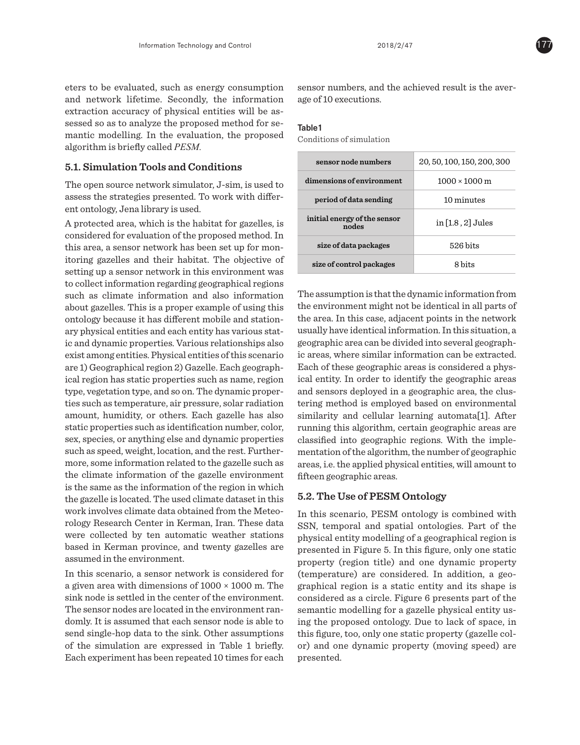eters to be evaluated, such as energy consumption and network lifetime. Secondly, the information extraction accuracy of physical entities will be assessed so as to analyze the proposed method for semantic modelling. In the evaluation, the proposed algorithm is briefly called *PESM.*

## **5.1. Simulation Tools and Conditions**

The open source network simulator, J-sim, is used to assess the strategies presented. To work with different ontology, Jena library is used.

A protected area, which is the habitat for gazelles, is considered for evaluation of the proposed method. In this area, a sensor network has been set up for monitoring gazelles and their habitat. The objective of setting up a sensor network in this environment was to collect information regarding geographical regions such as climate information and also information about gazelles. This is a proper example of using this ontology because it has different mobile and stationary physical entities and each entity has various static and dynamic properties. Various relationships also exist among entities. Physical entities of this scenario are 1) Geographical region 2) Gazelle. Each geographical region has static properties such as name, region type, vegetation type, and so on. The dynamic properties such as temperature, air pressure, solar radiation amount, humidity, or others. Each gazelle has also static properties such as identification number, color, sex, species, or anything else and dynamic properties such as speed, weight, location, and the rest. Furthermore, some information related to the gazelle such as the climate information of the gazelle environment is the same as the information of the region in which the gazelle is located. The used climate dataset in this work involves climate data obtained from the Meteorology Research Center in Kerman, Iran. These data were collected by ten automatic weather stations based in Kerman province, and twenty gazelles are assumed in the environment.

In this scenario, a sensor network is considered for a given area with dimensions of  $1000 \times 1000$  m. The sink node is settled in the center of the environment. The sensor nodes are located in the environment randomly. It is assumed that each sensor node is able to send single-hop data to the sink. Other assumptions of the simulation are expressed in Table 1 briefly. Each experiment has been repeated 10 times for each sensor numbers, and the achieved result is the average of 10 executions.

#### Table1

Conditions of simulation

| sensor node numbers                   | 20, 50, 100, 150, 200, 300 |
|---------------------------------------|----------------------------|
| dimensions of environment             | $1000 \times 1000$ m       |
| period of data sending                | 10 minutes                 |
| initial energy of the sensor<br>nodes | in [1.8, 2] Jules          |
| size of data packages                 | $526 \text{ bits}$         |
| size of control packages              | 8 bits                     |

The assumption is that the dynamic information from the environment might not be identical in all parts of the area. In this case, adjacent points in the network usually have identical information. In this situation, a geographic area can be divided into several geographic areas, where similar information can be extracted. Each of these geographic areas is considered a physical entity. In order to identify the geographic areas and sensors deployed in a geographic area, the clustering method is employed based on environmental similarity and cellular learning automata[1]. After running this algorithm, certain geographic areas are classified into geographic regions. With the implementation of the algorithm, the number of geographic areas, i.e. the applied physical entities, will amount to fifteen geographic areas.

# **5.2. The Use of PESM Ontology**

In this scenario, PESM ontology is combined with SSN, temporal and spatial ontologies. Part of the physical entity modelling of a geographical region is presented in Figure 5. In this figure, only one static property (region title) and one dynamic property (temperature) are considered. In addition, a geographical region is a static entity and its shape is considered as a circle. Figure 6 presents part of the semantic modelling for a gazelle physical entity using the proposed ontology. Due to lack of space, in this figure, too, only one static property (gazelle color) and one dynamic property (moving speed) are presented.

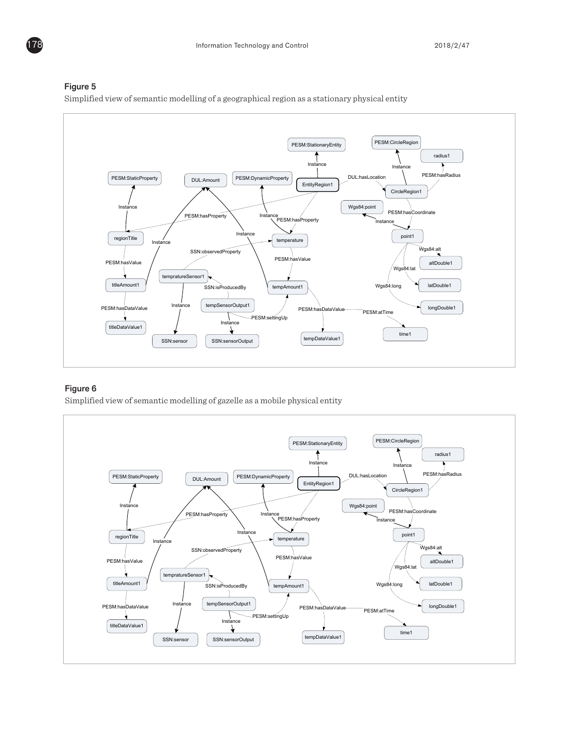

#### Figure 5

Simplified view of semantic modelling of a geographical region as a stationary physical entity

# Figure 6

Simplified view of semantic modelling of gazelle as a mobile physical entity



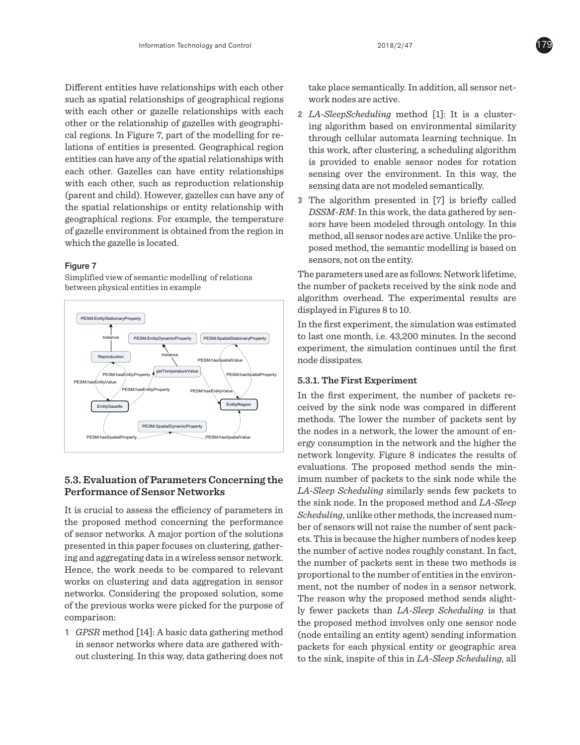Different entities have relationships with each other such as spatial relationships of geographical regions with each other or gazelle relationships with each other or the relationship of gazelles with geographical regions. In Figure 7, part of the modelling for relations of entities is presented. Geographical region entities can have any of the spatial relationships with each other. Gazelles can have entity relationships with each other, such as reproduction relationship (parent and child). However, gazelles can have any of the spatial relationships or entity relationship with geographical regions. For example, the temperature of gazelle environment is obtained from the region in which the gazelle is located.

# Figure 7

Simplified view of semantic modelling of relations between physical entities in example



# **5.3. Evaluation of Parameters Concerning the Performance of Sensor Networks**

It is crucial to assess the efficiency of parameters in the proposed method concerning the performance of sensor networks. A major portion of the solutions presented in this paper focuses on clustering, gathering and aggregating data in a wireless sensor network. Hence, the work needs to be compared to relevant works on clustering and data aggregation in sensor networks. Considering the proposed solution, some of the previous works were picked for the purpose of comparison:

**1** *GPSR* method [14]: A basic data gathering method in sensor networks where data are gathered without clustering. In this way, data gathering does not take place semantically. In addition, all sensor network nodes are active.

- **2** *LA-SleepScheduling* method [1]: It is a clustering algorithm based on environmental similarity through cellular automata learning technique. In this work, after clustering, a scheduling algorithm is provided to enable sensor nodes for rotation sensing over the environment. In this way, the sensing data are not modeled semantically.
- **3** The algorithm presented in [7] is briefly called *DSSM-RM*: In this work, the data gathered by sensors have been modeled through ontology. In this method, all sensor nodes are active. Unlike the proposed method, the semantic modelling is based on sensors, not on the entity.

The parameters used are as follows: Network lifetime, the number of packets received by the sink node and algorithm overhead. The experimental results are displayed in Figures 8 to 10.

In the first experiment, the simulation was estimated to last one month, i.e. 43,200 minutes. In the second experiment, the simulation continues until the first node dissipates.

# **5.3.1. The First Experiment**

In the first experiment, the number of packets received by the sink node was compared in different methods. The lower the number of packets sent by the nodes in a network, the lower the amount of energy consumption in the network and the higher the network longevity. Figure 8 indicates the results of evaluations. The proposed method sends the minimum number of packets to the sink node while the *LA-Sleep Scheduling* similarly sends few packets to the sink node. In the proposed method and *LA-Sleep Scheduling*, unlike other methods, the increased number of sensors will not raise the number of sent packets. This is because the higher numbers of nodes keep the number of active nodes roughly constant. In fact, the number of packets sent in these two methods is proportional to the number of entities in the environment, not the number of nodes in a sensor network. The reason why the proposed method sends slightly fewer packets than *LA-Sleep Scheduling* is that the proposed method involves only one sensor node (node entailing an entity agent) sending information packets for each physical entity or geographic area to the sink, inspite of this in *LA-Sleep Scheduling*, all

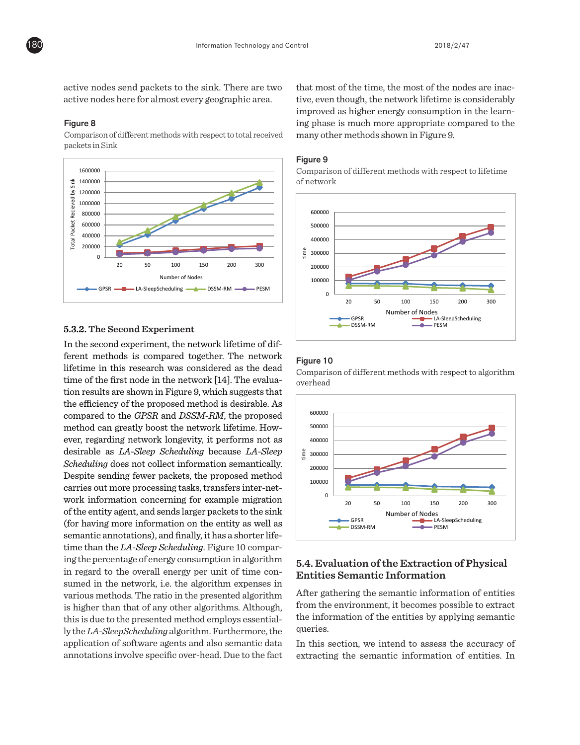active nodes send packets to the sink. There are two active nodes here for almost every geographic area.

#### Figure 8

Comparison of different methods with respect to total received packets in Sink



# 5.3.2. The Second Experiment

In the second experiment, the network lifetime of different methods is compared together. The network lifetime in this research was considered as the dead time of the first node in the network [14]. The evaluation results are shown in Figure 9, which suggests that the efficiency of the proposed method is desirable. As compared to the *GPSR* and *DSSM-RM*, the proposed method can greatly boost the network lifetime. However, regarding network longevity, it performs not as desirable as *LA-Sleep Scheduling* because *LA-Sleep Scheduling* does not collect information semantically. Despite sending fewer packets, the proposed method carries out more processing tasks, transfers inter-network information concerning for example migration of the entity agent, and sends larger packets to the sink (for having more information on the entity as well as semantic annotations), and finally, it has a shorter lifetime than the LA-Sleep Scheduling. Figure 10 comparing the percentage of energy consumption in algorithm in regard to the overall energy per unit of time consumed in the network, i.e. the algorithm expenses in various methods. The ratio in the presented algorithm is higher than that of any other algorithms. Although, this is due to the presented method employs essentially the *LA-SleepScheduling* algorithm. Furthermore, the application of software agents and also semantic data annotations involve specific over-head. Due to the fact  $\overline{\phantom{0}}$ 

600000 many other methods shown in Figure 9. that most of the time, the most of the nodes are inactive, even though, the network lifetime is considerably improved as higher energy consumption in the learning phase is much more appropriate compared to the

#### Figure 9

Comparison of different methods with respect to lifetime of network



## Figure 10

0,0% 20 50 100 150 200 300 Comparison of different methods with respect to algorithm 12,0% overhead



# **Entities Semantic Information** 5.4. Evaluation of the Extraction of Physical

queries. from the environment, it becomes possible to extract After gathering the semantic information of entities te<br>or<br>e the information of the entities by applying semantic

In this section, we intend to assess the accuracy of extracting the semantic information of entities. In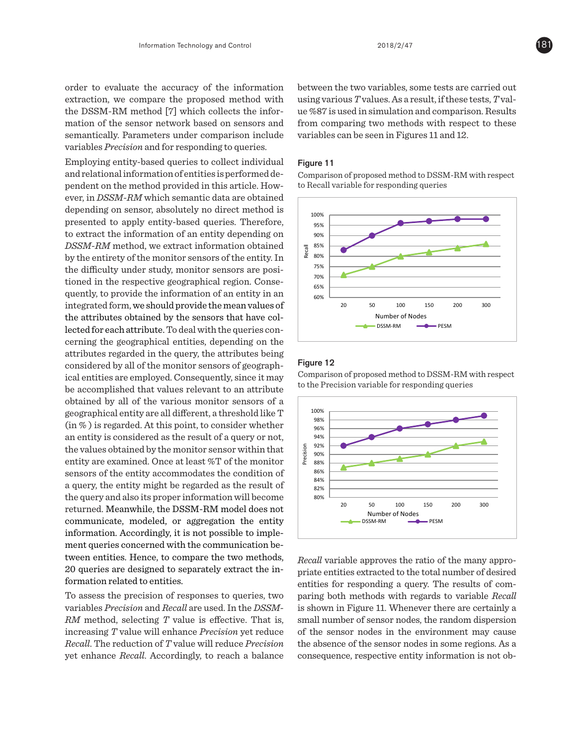order to evaluate the accuracy of the information extraction, we compare the proposed method with the DSSM-RM method [7] which collects the information of the sensor network based on sensors and semantically. Parameters under comparison include variables *Precision* and for responding to queries.

Employing entity-based queries to collect individual and relational information of entities is performed dependent on the method provided in this article. However, in *DSSM-RM* which semantic data are obtained depending on sensor, absolutely no direct method is presented to apply entity-based queries. Therefore, to extract the information of an entity depending on *DSSM-RM* method, we extract information obtained by the entirety of the monitor sensors of the entity. In the difficulty under study, monitor sensors are positioned in the respective geographical region. Consequently, to provide the information of an entity in an integrated form, we should provide the mean values of the attributes obtained by the sensors that have collected for each attribute. To deal with the queries concerning the geographical entities, depending on the attributes regarded in the query, the attributes being considered by all of the monitor sensors of geographical entities are employed. Consequently, since it may be accomplished that values relevant to an attribute obtained by all of the various monitor sensors of a geographical entity are all different, a threshold like T (in % ) is regarded. At this point, to consider whether an entity is considered as the result of a query or not, the values obtained by the monitor sensor within that entity are examined. Once at least %T of the monitor sensors of the entity accommodates the condition of a query, the entity might be regarded as the result of the query and also its proper information will become returned. Meanwhile, the DSSM-RM model does not communicate, modeled, or aggregation the entity information. Accordingly, it is not possible to implement queries concerned with the communication between entities. Hence, to compare the two methods, 20 queries are designed to separately extract the information related to entities.

To assess the precision of responses to queries, two variables *Precision* and *Recall* are used. In the *DSSM-RM* method, selecting *T* value is effective. That is, increasing *T* value will enhance *Precision* yet reduce *Recall*. The reduction of *T* value will reduce *Precision* yet enhance *Recall*. Accordingly, to reach a balance

between the two variables, some tests are carried out using various *T* values. As a result, if these tests, *T* value %87 is used in simulation and comparison. Results from comparing two methods with respect to these variables can be seen in Figures 11 and 12. actustics, some test

## Figure 11

Comparison of proposed method to DSSM-RM with respect to Recall variable for responding queries



## Figure 12

Comparison of proposed method to DSSM-RM with respect to the Precision variable for responding queries



consequence, respective entity information is not obthe absence of the sensor nodes in some regions. As a *Recall* variable approves the ratio of the many appropriate entities extracted to the total number of desired entities for responding a query. The results of comparing both methods with regards to variable *Recall* is shown in Figure 11. Whenever there are certainly a small number of sensor nodes, the random dispersion of the sensor nodes in the environment may cause

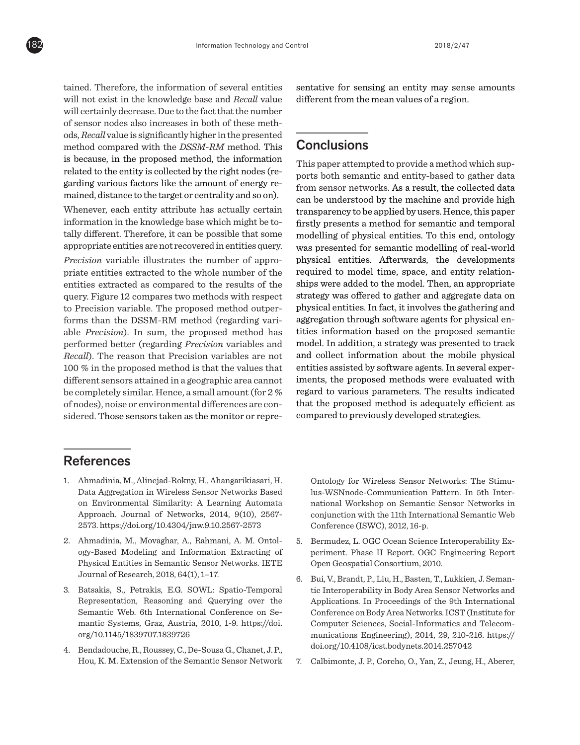tained. Therefore, the information of several entities will not exist in the knowledge base and *Recall* value will certainly decrease. Due to the fact that the number of sensor nodes also increases in both of these methods, *Recall* value is significantly higher in the presented method compared with the *DSSM-RM* method. This is because, in the proposed method, the information related to the entity is collected by the right nodes (regarding various factors like the amount of energy remained, distance to the target or centrality and so on).

Whenever, each entity attribute has actually certain information in the knowledge base which might be totally different. Therefore, it can be possible that some appropriate entities are not recovered in entities query.

*Precision* variable illustrates the number of appropriate entities extracted to the whole number of the entities extracted as compared to the results of the query. Figure 12 compares two methods with respect to Precision variable. The proposed method outperforms than the DSSM-RM method (regarding variable *Precision*). In sum, the proposed method has performed better (regarding *Precision* variables and *Recall*). The reason that Precision variables are not 100 % in the proposed method is that the values that different sensors attained in a geographic area cannot be completely similar. Hence, a small amount (for 2 % of nodes), noise or environmental differences are considered. Those sensors taken as the monitor or representative for sensing an entity may sense amounts different from the mean values of a region.

# **Conclusions**

ı

This paper attempted to provide a method which supports both semantic and entity-based to gather data from sensor networks. As a result, the collected data can be understood by the machine and provide high transparency to be applied by users. Hence, this paper firstly presents a method for semantic and temporal modelling of physical entities. To this end, ontology was presented for semantic modelling of real-world physical entities. Afterwards, the developments required to model time, space, and entity relationships were added to the model. Then, an appropriate strategy was offered to gather and aggregate data on physical entities. In fact, it involves the gathering and aggregation through software agents for physical entities information based on the proposed semantic model. In addition, a strategy was presented to track and collect information about the mobile physical entities assisted by software agents. In several experiments, the proposed methods were evaluated with regard to various parameters. The results indicated that the proposed method is adequately efficient as compared to previously developed strategies.

# References

- 1. Ahmadinia, M., Alinejad-Rokny, H., Ahangarikiasari, H. Data Aggregation in Wireless Sensor Networks Based on Environmental Similarity: A Learning Automata Approach. Journal of Networks, 2014, 9(10), 2567- 2573. https://doi.org/10.4304/jnw.9.10.2567-2573
- 2. Ahmadinia, M., Movaghar, A., Rahmani, A. M. Ontology-Based Modeling and Information Extracting of Physical Entities in Semantic Sensor Networks. IETE Journal of Research, 2018, 64(1), 1–17.
- 3. Batsakis, S., Petrakis, E.G. SOWL: Spatio-Temporal Representation, Reasoning and Querying over the Semantic Web. 6th International Conference on Semantic Systems, Graz, Austria, 2010, 1-9. https://doi. org/10.1145/1839707.1839726
- 4. Bendadouche, R., Roussey, C., De-Sousa G., Chanet, J. P., Hou, K. M. Extension of the Semantic Sensor Network

Ontology for Wireless Sensor Networks: The Stimulus-WSNnode-Communication Pattern. In 5th International Workshop on Semantic Sensor Networks in conjunction with the 11th International Semantic Web Conference (ISWC), 2012, 16-p.

- 5. Bermudez, L. OGC Ocean Science Interoperability Experiment. Phase II Report. OGC Engineering Report Open Geospatial Consortium, 2010.
- 6. Bui, V., Brandt, P., Liu, H., Basten, T., Lukkien, J. Semantic Interoperability in Body Area Sensor Networks and Applications. In Proceedings of the 9th International Conference on Body Area Networks. ICST (Institute for Computer Sciences, Social-Informatics and Telecommunications Engineering), 2014, 29, 210-216. https:// doi.org/10.4108/icst.bodynets.2014.257042
- 7. Calbimonte, J. P., Corcho, O., Yan, Z., Jeung, H., Aberer,